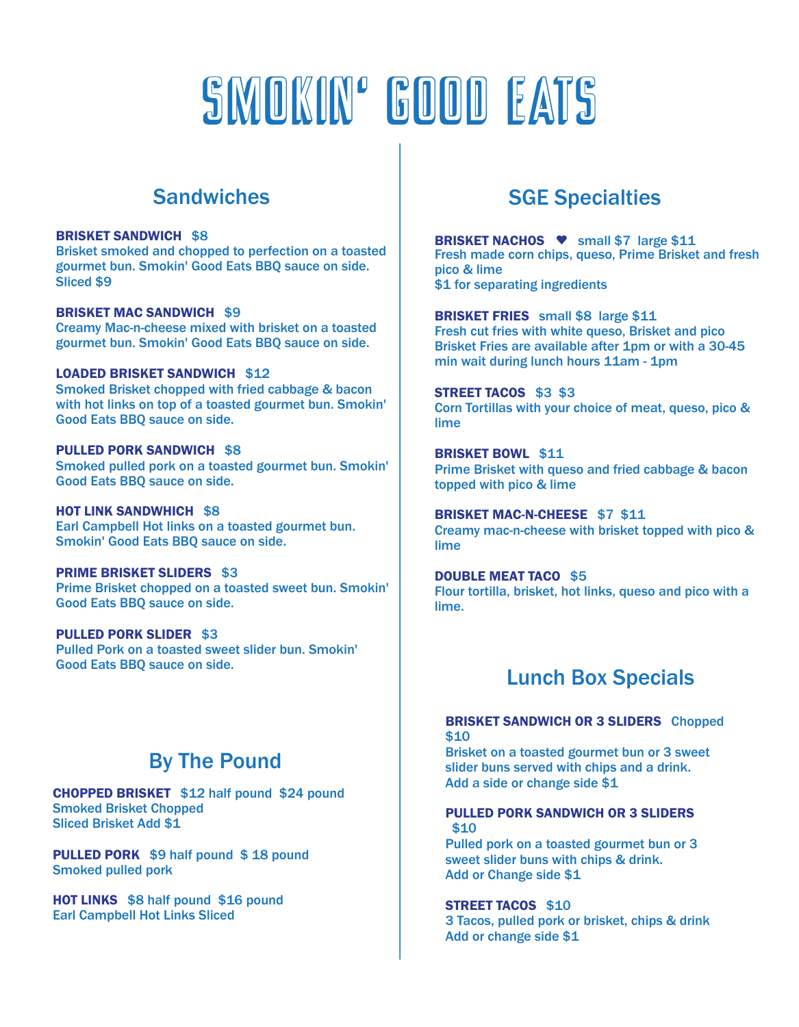# Smokin' good eats

## **Sandwiches**

#### **BRISKET SANDWICH** \$8

Brisket smoked and chopped to perfection on a toasted gourmet bun. Smokin' Good Eats BBQ sauce on side. Sliced \$9

**BRISKET MAC SANDWICH** \$9 Creamy Mac-n-cheese mixed with brisket on a toasted gourmet bun. Smokin' Good Eats BBQ sauce on side.

**LOADED BRISKET SANDWICH** \$12 Smoked Brisket chopped with fried cabbage & bacon with hot links on top of a toasted gourmet bun. Smokin' Good Eats BBQ sauce on side.

**PULLED PORK SANDWICH** \$8 Smoked pulled pork on a toasted gourmet bun. Smokin' Good Eats BBQ sauce on side.

**HOT LINK SANDWHICH** \$8 Earl Campbell Hot links on a toasted gourmet bun. Smokin' Good Eats BBQ sauce on side.

**PRIME BRISKET SLIDERS** \$3 Prime Brisket chopped on a toasted sweet bun. Smokin' Good Eats BBQ sauce on side.

**PULLED PORK SLIDER** \$3 Pulled Pork on a toasted sweet slider bun. Smokin' Good Eats BBQ sauce on side.

## By The Pound

**CHOPPED BRISKET** \$12 half pound \$24 pound Smoked Brisket Chopped Sliced Brisket Add \$1

**PULLED PORK** \$9 half pound \$ 18 pound Smoked pulled pork

**HOT LINKS** \$8 half pound \$16 pound Earl Campbell Hot Links Sliced

## SGE Specialties

**BRISKET NACHOS •** small \$7 large \$11 Fresh made corn chips, queso, Prime Brisket and fresh pico & lime \$1 for separating ingredients

**BRISKET FRIES** small \$8 large \$11 Fresh cut fries with white queso, Brisket and pico Brisket Fries are available after 1pm or with a 30-45 min wait during lunch hours 11am - 1pm

**STREET TACOS** \$3 \$3 Corn Tortillas with your choice of meat, queso, pico & lime

**BRISKET BOWL** \$11 Prime Brisket with queso and fried cabbage & bacon topped with pico & lime

**BRISKET MAC-N-CHEESE** \$7 \$11 Creamy mac-n-cheese with brisket topped with pico & lime

**DOUBLE MEAT TACO** \$5 Flour tortilla, brisket, hot links, queso and pico with a lime.

## Lunch Box Specials

### **BRISKET SANDWICH OR 3 SLIDERS** Chopped \$10

Brisket on a toasted gourmet bun or 3 sweet slider buns served with chips and a drink. Add a side or change side \$1

#### **PULLED PORK SANDWICH OR 3 SLIDERS** \$10

Pulled pork on a toasted gourmet bun or 3 sweet slider buns with chips & drink. Add or Change side \$1

### **STREET TACOS** \$10

3 Tacos, pulled pork or brisket, chips & drink Add or change side \$1